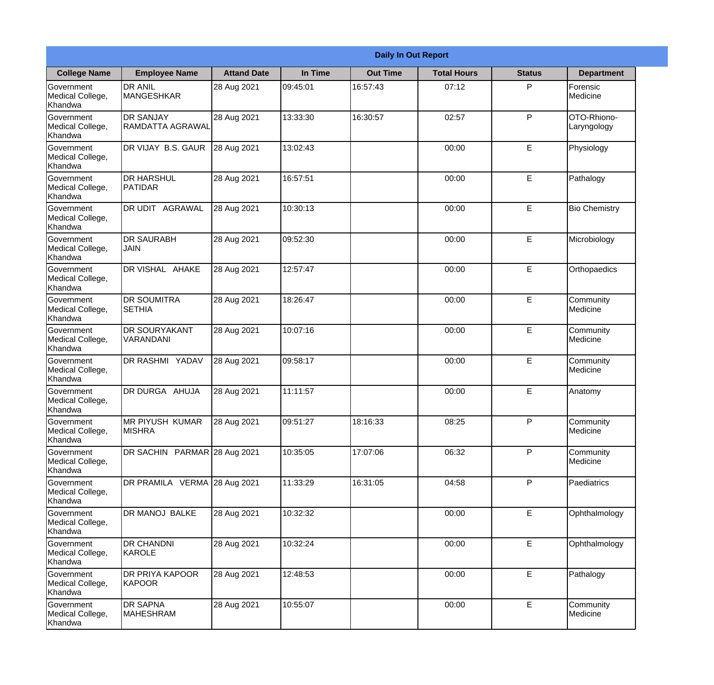|                                                  | <b>Daily In Out Report</b>           |                    |          |                 |                    |               |                            |  |  |
|--------------------------------------------------|--------------------------------------|--------------------|----------|-----------------|--------------------|---------------|----------------------------|--|--|
| <b>College Name</b>                              | <b>Employee Name</b>                 | <b>Attand Date</b> | In Time  | <b>Out Time</b> | <b>Total Hours</b> | <b>Status</b> | <b>Department</b>          |  |  |
| Government<br>Medical College,<br>Khandwa        | <b>DR ANIL</b><br><b>MANGESHKAR</b>  | 28 Aug 2021        | 09:45:01 | 16:57:43        | 07:12              | P             | Forensic<br>Medicine       |  |  |
| Government<br>Medical College,<br>Khandwa        | <b>DR SANJAY</b><br>RAMDATTA AGRAWAL | 28 Aug 2021        | 13:33:30 | 16:30:57        | 02:57              | P             | OTO-Rhiono-<br>Laryngology |  |  |
| <b>Government</b><br>Medical College,<br>Khandwa | <b>IDR VIJAY B.S. GAUR</b>           | 28 Aug 2021        | 13:02:43 |                 | 00:00              | E             | Physiology                 |  |  |
| Government<br>Medical College,<br>Khandwa        | <b>DR HARSHUL</b><br>PATIDAR         | 28 Aug 2021        | 16:57:51 |                 | 00:00              | E             | Pathalogy                  |  |  |
| Government<br>Medical College,<br>Khandwa        | <b>DR UDIT AGRAWAL</b>               | 28 Aug 2021        | 10:30:13 |                 | 00:00              | E             | <b>Bio Chemistry</b>       |  |  |
| Government<br>Medical College,<br>Khandwa        | <b>DR SAURABH</b><br><b>JAIN</b>     | 28 Aug 2021        | 09:52:30 |                 | 00:00              | E             | Microbiology               |  |  |
| Government<br>Medical College,<br>Khandwa        | DR VISHAL AHAKE                      | 28 Aug 2021        | 12:57:47 |                 | 00:00              | E             | Orthopaedics               |  |  |
| Government<br>Medical College,<br>Khandwa        | <b>DR SOUMITRA</b><br><b>SETHIA</b>  | 28 Aug 2021        | 18:26:47 |                 | 00:00              | E             | Community<br>Medicine      |  |  |
| Government<br>Medical College,<br>Khandwa        | <b>DR SOURYAKANT</b><br>VARANDANI    | 28 Aug 2021        | 10:07:16 |                 | 00:00              | E             | Community<br>Medicine      |  |  |
| Government<br>Medical College,<br>Khandwa        | DR RASHMI YADAV                      | 28 Aug 2021        | 09:58:17 |                 | 00:00              | E             | Community<br>Medicine      |  |  |
| Government<br>Medical College,<br>Khandwa        | DR DURGA AHUJA                       | 28 Aug 2021        | 11:11:57 |                 | 00:00              | E             | Anatomy                    |  |  |
| Government<br>Medical College,<br>Khandwa        | MR PIYUSH KUMAR<br><b>MISHRA</b>     | 28 Aug 2021        | 09:51:27 | 18:16:33        | 08:25              | P             | Community<br>Medicine      |  |  |
| Government<br>Medical College,<br>Khandwa        | DR SACHIN PARMAR 28 Aug 2021         |                    | 10:35:05 | 17:07:06        | 06:32              | P             | Community<br>Medicine      |  |  |
| Government<br>Medical College,<br>Khandwa        | DR PRAMILA VERMA 28 Aug 2021         |                    | 11:33:29 | 16:31:05        | 04:58              | P             | Paediatrics                |  |  |
| Government<br>Medical College,<br>Khandwa        | DR MANOJ BALKE                       | 28 Aug 2021        | 10:32:32 |                 | 00:00              | E             | Ophthalmology              |  |  |
| Government<br>Medical College,<br>Khandwa        | <b>DR CHANDNI</b><br>KAROLE          | 28 Aug 2021        | 10:32:24 |                 | 00:00              | $\mathsf E$   | Ophthalmology              |  |  |
| Government<br>Medical College,<br>Khandwa        | <b>DR PRIYA KAPOOR</b><br>KAPOOR     | 28 Aug 2021        | 12:48:53 |                 | 00:00              | E             | Pathalogy                  |  |  |
| Government<br>Medical College,<br>Khandwa        | <b>DR SAPNA</b><br><b>MAHESHRAM</b>  | 28 Aug 2021        | 10:55:07 |                 | 00:00              | E             | Community<br>Medicine      |  |  |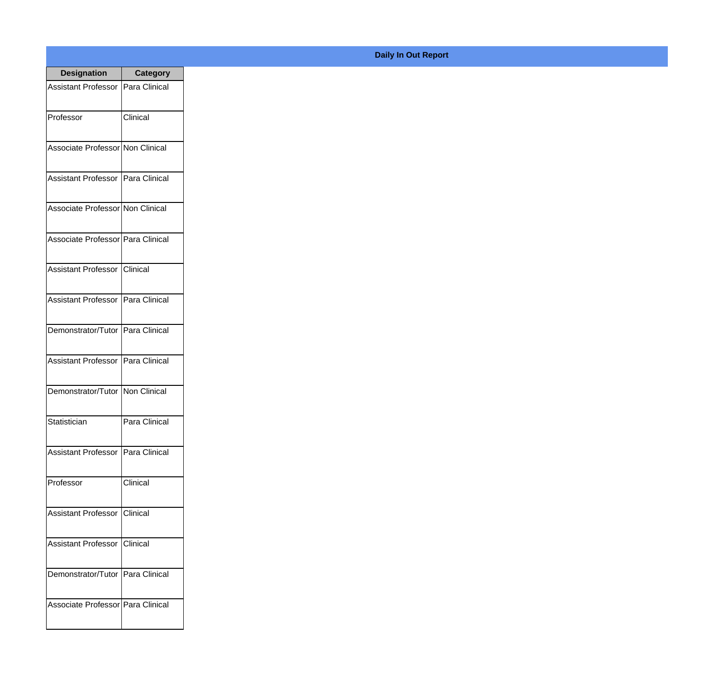| <b>Designation</b>                  | <b>Category</b>      |
|-------------------------------------|----------------------|
| <b>Assistant Professor</b>          | Para Clinical        |
| Professor                           | Clinical             |
| Associate Professor Non Clinical    |                      |
| <b>Assistant Professor</b>          | Para Clinical        |
| Associate Professor Non Clinical    |                      |
| Associate Professor Para Clinical   |                      |
| Assistant Professor   Clinical      |                      |
| Assistant Professor   Para Clinical |                      |
| Demonstrator/Tutor   Para Clinical  |                      |
| <b>Assistant Professor</b>          | Para Clinical        |
| Demonstrator/Tutor                  | Non Clinical         |
| Statistician                        | Para Clinical        |
| <b>Assistant Professor</b>          | Para Clinical        |
| Professor                           | Clinical             |
| <b>Assistant Professor</b>          | Clinical             |
| <b>Assistant Professor</b>          | <b>Clinical</b>      |
| Demonstrator/Tutor                  | <b>Para Clinical</b> |
| Associate Professor Para Clinical   |                      |

## **Daily In Out Report**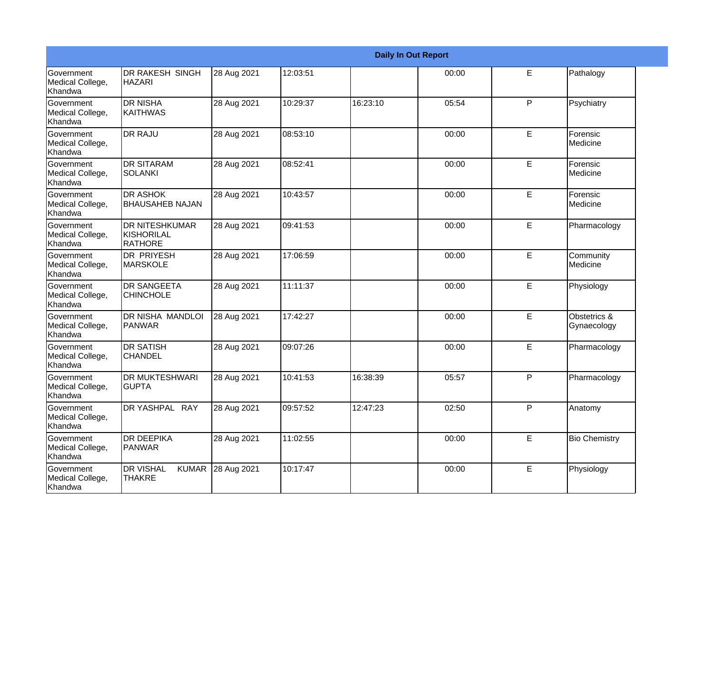|                                                  |                                                              |             |          |          | <b>Daily In Out Report</b> |             |                             |
|--------------------------------------------------|--------------------------------------------------------------|-------------|----------|----------|----------------------------|-------------|-----------------------------|
| Government<br>Medical College,<br>Khandwa        | DR RAKESH SINGH<br><b>HAZARI</b>                             | 28 Aug 2021 | 12:03:51 |          | 00:00                      | E           | Pathalogy                   |
| Government<br>Medical College,<br>Khandwa        | <b>DR NISHA</b><br><b>KAITHWAS</b>                           | 28 Aug 2021 | 10:29:37 | 16:23:10 | 05:54                      | P           | Psychiatry                  |
| <b>Government</b><br>Medical College,<br>Khandwa | <b>DR RAJU</b>                                               | 28 Aug 2021 | 08:53:10 |          | 00:00                      | E           | Forensic<br>Medicine        |
| Government<br>Medical College,<br>Khandwa        | <b>I</b> DR SITARAM<br>SOLANKI                               | 28 Aug 2021 | 08:52:41 |          | 00:00                      | E           | Forensic<br>Medicine        |
| Government<br>Medical College,<br>Khandwa        | <b>DR ASHOK</b><br><b>BHAUSAHEB NAJAN</b>                    | 28 Aug 2021 | 10:43:57 |          | 00:00                      | E           | Forensic<br>Medicine        |
| Government<br>Medical College,<br>Khandwa        | <b>DR NITESHKUMAR</b><br><b>KISHORILAL</b><br><b>RATHORE</b> | 28 Aug 2021 | 09:41:53 |          | 00:00                      | E           | Pharmacology                |
| Government<br>Medical College,<br>Khandwa        | DR PRIYESH<br><b>MARSKOLE</b>                                | 28 Aug 2021 | 17:06:59 |          | 00:00                      | E           | Community<br>Medicine       |
| <b>Government</b><br>Medical College,<br>Khandwa | <b>DR SANGEETA</b><br><b>CHINCHOLE</b>                       | 28 Aug 2021 | 11:11:37 |          | 00:00                      | E           | Physiology                  |
| Government<br>Medical College,<br>Khandwa        | DR NISHA MANDLOI<br>PANWAR                                   | 28 Aug 2021 | 17:42:27 |          | 00:00                      | E           | Obstetrics &<br>Gynaecology |
| Government<br>Medical College,<br>Khandwa        | <b>DR SATISH</b><br><b>CHANDEL</b>                           | 28 Aug 2021 | 09:07:26 |          | 00:00                      | E           | Pharmacology                |
| Government<br>Medical College,<br>Khandwa        | <b>DR MUKTESHWARI</b><br><b>GUPTA</b>                        | 28 Aug 2021 | 10:41:53 | 16:38:39 | 05:57                      | P           | Pharmacology                |
| Government<br>Medical College,<br>Khandwa        | DR YASHPAL RAY                                               | 28 Aug 2021 | 09:57:52 | 12:47:23 | 02:50                      | P           | Anatomy                     |
| Government<br>Medical College,<br>Khandwa        | <b>DR DEEPIKA</b><br><b>PANWAR</b>                           | 28 Aug 2021 | 11:02:55 |          | 00:00                      | $\mathsf E$ | <b>Bio Chemistry</b>        |
| Government<br>Medical College,<br>Khandwa        | <b>KUMAR</b><br><b>DR VISHAL</b><br><b>THAKRE</b>            | 28 Aug 2021 | 10:17:47 |          | 00:00                      | E           | Physiology                  |